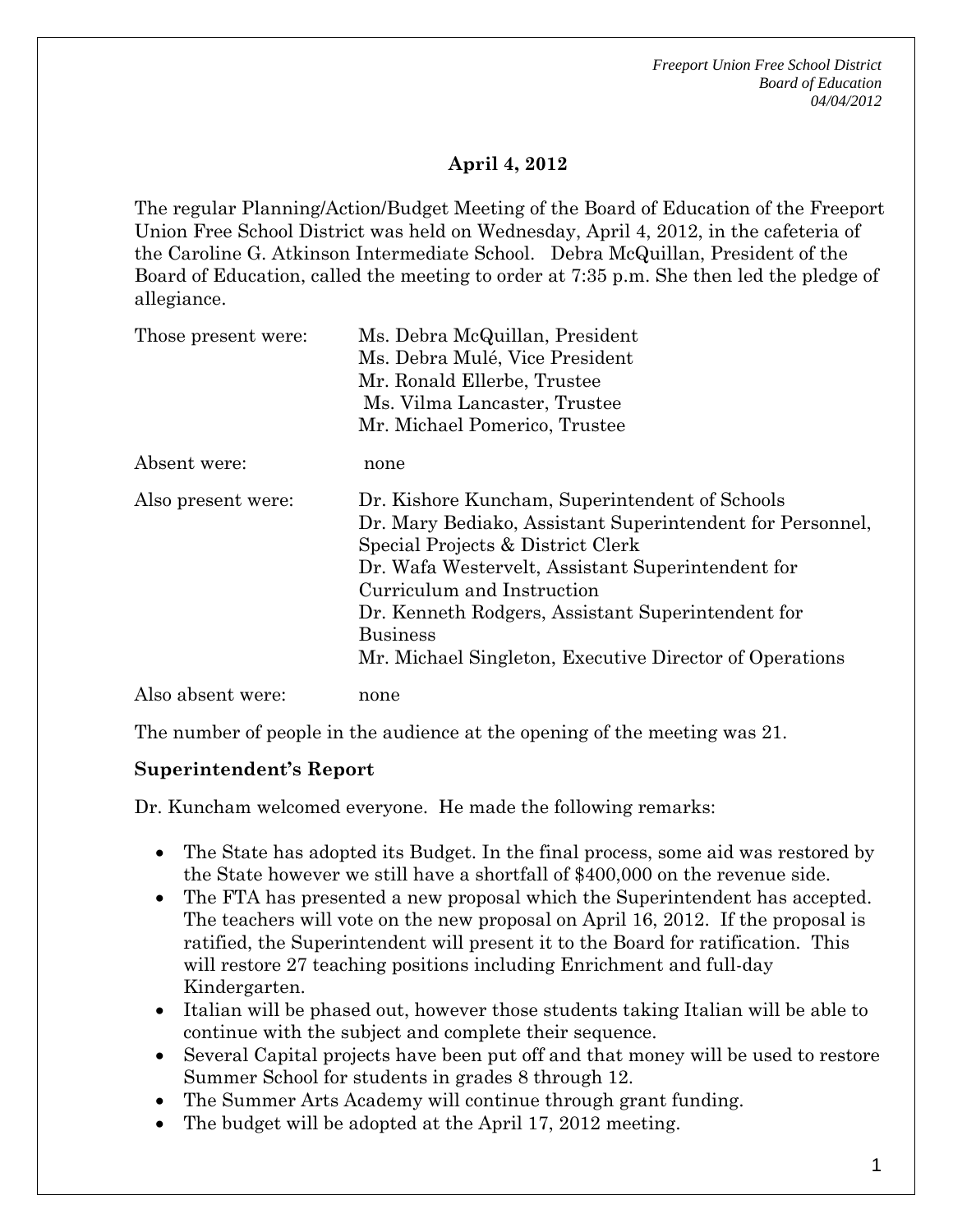*Freeport Union Free School District Board of Education 04/04/2012* 

### **April 4, 2012**

The regular Planning/Action/Budget Meeting of the Board of Education of the Freeport Union Free School District was held on Wednesday, April 4, 2012, in the cafeteria of the Caroline G. Atkinson Intermediate School. Debra McQuillan, President of the Board of Education, called the meeting to order at 7:35 p.m. She then led the pledge of allegiance.

| Those present were: | Ms. Debra McQuillan, President<br>Ms. Debra Mulé, Vice President<br>Mr. Ronald Ellerbe, Trustee<br>Ms. Vilma Lancaster, Trustee<br>Mr. Michael Pomerico, Trustee                                                                                                                                                                                                       |
|---------------------|------------------------------------------------------------------------------------------------------------------------------------------------------------------------------------------------------------------------------------------------------------------------------------------------------------------------------------------------------------------------|
| Absent were:        | none                                                                                                                                                                                                                                                                                                                                                                   |
| Also present were:  | Dr. Kishore Kuncham, Superintendent of Schools<br>Dr. Mary Bediako, Assistant Superintendent for Personnel,<br>Special Projects & District Clerk<br>Dr. Wafa Westervelt, Assistant Superintendent for<br>Curriculum and Instruction<br>Dr. Kenneth Rodgers, Assistant Superintendent for<br><b>Business</b><br>Mr. Michael Singleton, Executive Director of Operations |
| Also absent were:   | none                                                                                                                                                                                                                                                                                                                                                                   |

The number of people in the audience at the opening of the meeting was 21.

#### **Superintendent's Report**

Dr. Kuncham welcomed everyone. He made the following remarks:

- The State has adopted its Budget. In the final process, some aid was restored by the State however we still have a shortfall of \$400,000 on the revenue side.
- The FTA has presented a new proposal which the Superintendent has accepted. The teachers will vote on the new proposal on April 16, 2012. If the proposal is ratified, the Superintendent will present it to the Board for ratification. This will restore 27 teaching positions including Enrichment and full-day Kindergarten.
- Italian will be phased out, however those students taking Italian will be able to continue with the subject and complete their sequence.
- Several Capital projects have been put off and that money will be used to restore Summer School for students in grades 8 through 12.
- The Summer Arts Academy will continue through grant funding.
- The budget will be adopted at the April 17, 2012 meeting.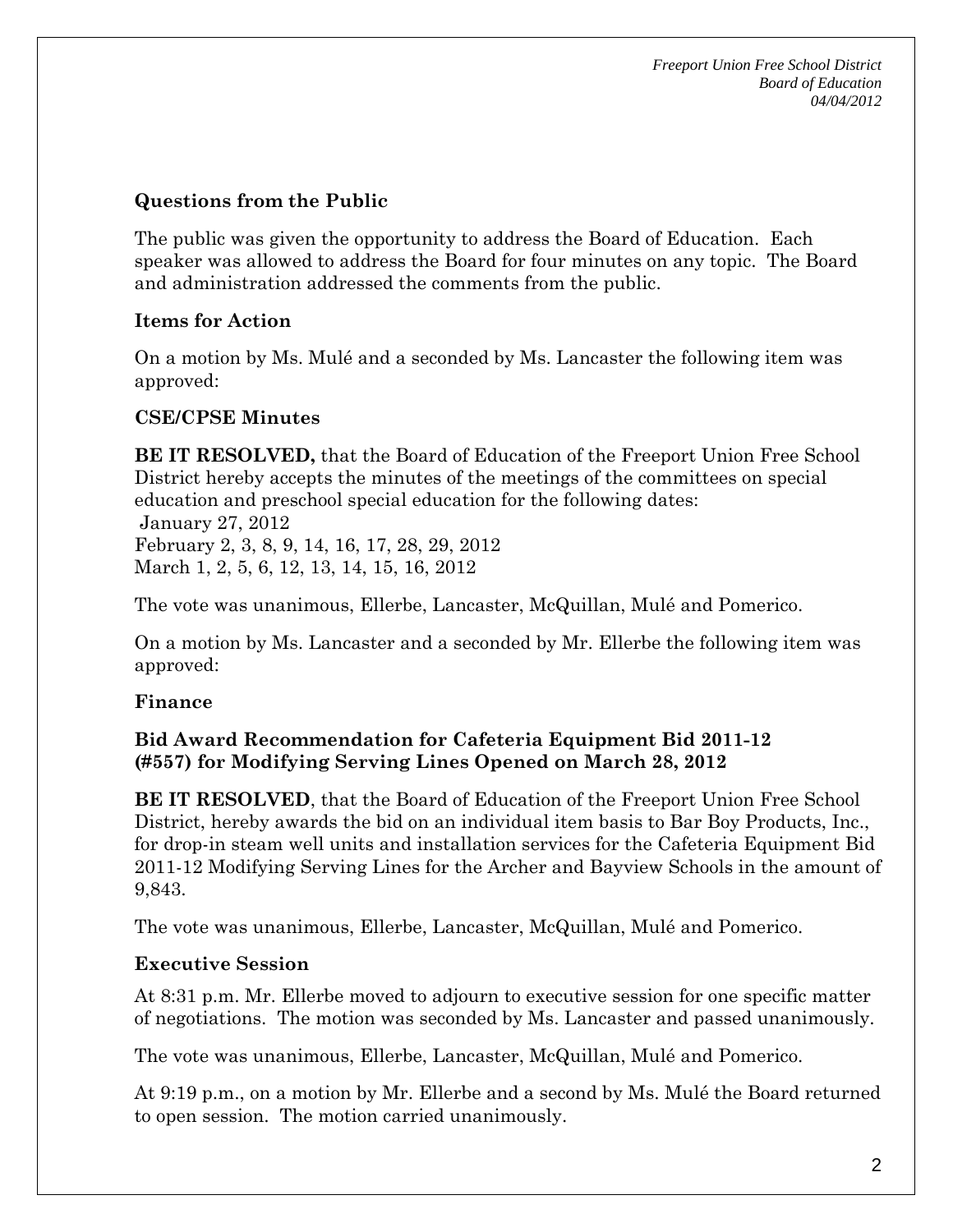### **Questions from the Public**

The public was given the opportunity to address the Board of Education. Each speaker was allowed to address the Board for four minutes on any topic. The Board and administration addressed the comments from the public.

# **Items for Action**

On a motion by Ms. Mulé and a seconded by Ms. Lancaster the following item was approved:

# **CSE/CPSE Minutes**

**BE IT RESOLVED,** that the Board of Education of the Freeport Union Free School District hereby accepts the minutes of the meetings of the committees on special education and preschool special education for the following dates:

 January 27, 2012 February 2, 3, 8, 9, 14, 16, 17, 28, 29, 2012 March 1, 2, 5, 6, 12, 13, 14, 15, 16, 2012

The vote was unanimous, Ellerbe, Lancaster, McQuillan, Mulé and Pomerico.

On a motion by Ms. Lancaster and a seconded by Mr. Ellerbe the following item was approved:

# **Finance**

## **Bid Award Recommendation for Cafeteria Equipment Bid 2011-12 (#557) for Modifying Serving Lines Opened on March 28, 2012**

**BE IT RESOLVED**, that the Board of Education of the Freeport Union Free School District, hereby awards the bid on an individual item basis to Bar Boy Products, Inc., for drop-in steam well units and installation services for the Cafeteria Equipment Bid 2011-12 Modifying Serving Lines for the Archer and Bayview Schools in the amount of 9,843.

The vote was unanimous, Ellerbe, Lancaster, McQuillan, Mulé and Pomerico.

# **Executive Session**

At 8:31 p.m. Mr. Ellerbe moved to adjourn to executive session for one specific matter of negotiations. The motion was seconded by Ms. Lancaster and passed unanimously.

The vote was unanimous, Ellerbe, Lancaster, McQuillan, Mulé and Pomerico.

At 9:19 p.m., on a motion by Mr. Ellerbe and a second by Ms. Mulé the Board returned to open session. The motion carried unanimously.